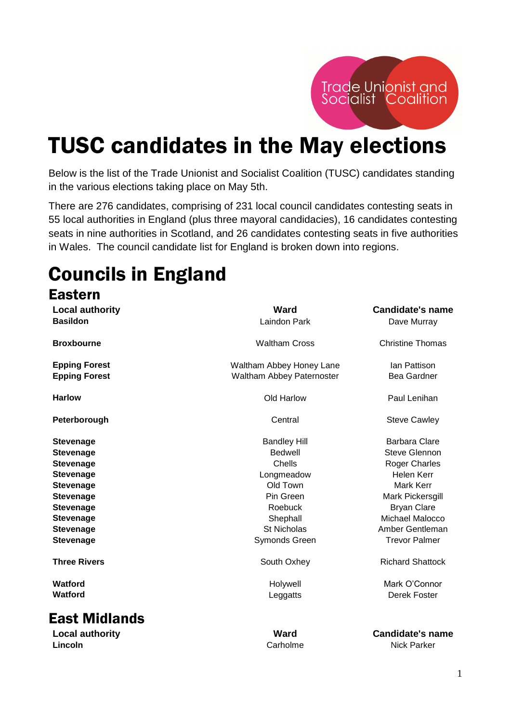

# TUSC candidates in the May elections

Below is the list of the Trade Unionist and Socialist Coalition (TUSC) candidates standing in the various elections taking place on May 5th.

There are 276 candidates, comprising of 231 local council candidates contesting seats in 55 local authorities in England (plus three mayoral candidacies), 16 candidates contesting seats in nine authorities in Scotland, and 26 candidates contesting seats in five authorities in Wales. The council candidate list for England is broken down into regions.

# Councils in England

| <b>Eastern</b>                            |                             |                                        |
|-------------------------------------------|-----------------------------|----------------------------------------|
| <b>Local authority</b><br><b>Basildon</b> | Ward<br><b>Laindon Park</b> | <b>Candidate's name</b><br>Dave Murray |
|                                           |                             | <b>Christine Thomas</b>                |
| <b>Broxbourne</b>                         | <b>Waltham Cross</b>        |                                        |
| <b>Epping Forest</b>                      | Waltham Abbey Honey Lane    | Ian Pattison                           |
| <b>Epping Forest</b>                      | Waltham Abbey Paternoster   | <b>Bea Gardner</b>                     |
| <b>Harlow</b>                             | Old Harlow                  | Paul Lenihan                           |
| Peterborough                              | Central                     | <b>Steve Cawley</b>                    |
| <b>Stevenage</b>                          | <b>Bandley Hill</b>         | Barbara Clare                          |
| <b>Stevenage</b>                          | <b>Bedwell</b>              | <b>Steve Glennon</b>                   |
| <b>Stevenage</b>                          | Chells                      | Roger Charles                          |
| <b>Stevenage</b>                          | Longmeadow                  | Helen Kerr                             |
| <b>Stevenage</b>                          | Old Town                    | <b>Mark Kerr</b>                       |
| <b>Stevenage</b>                          | Pin Green                   | Mark Pickersgill                       |
| <b>Stevenage</b>                          | Roebuck                     | <b>Bryan Clare</b>                     |
| <b>Stevenage</b>                          | Shephall                    | Michael Malocco                        |
| <b>Stevenage</b>                          | <b>St Nicholas</b>          | Amber Gentleman                        |
| <b>Stevenage</b>                          | Symonds Green               | <b>Trevor Palmer</b>                   |
| <b>Three Rivers</b>                       | South Oxhey                 | <b>Richard Shattock</b>                |
| Watford                                   | Holywell                    | Mark O'Connor                          |
| Watford                                   | Leggatts                    | Derek Foster                           |
| <b>East Midlands</b>                      |                             |                                        |
| <b>Local authority</b>                    | Ward                        | <b>Candidate's name</b>                |
| Lincoln                                   | Carholme                    | <b>Nick Parker</b>                     |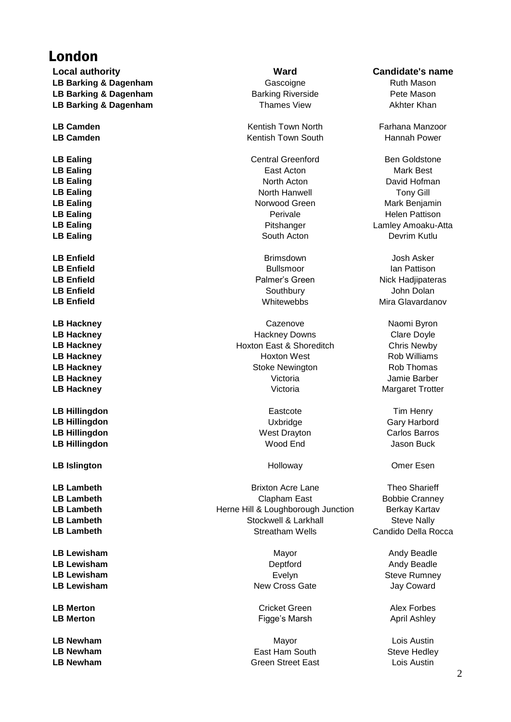## London

**Local authority Ward Candidate's name LB Barking & Dagenham** Cascoigne **Constructs** Cascoigne Ruth Mason **LB Barking & Dagenham** Barking Riverside Pete Mason **LB Barking & Dagenham** Thames View Thames View Akhter Khan **LB Camden Kentish Town North Farhana Manzoor Kentish Town North** Farhana Manzoor **LB Camden Kentish Town South Hannah Power LB Ealing Central Greenford** Ben Goldstone **LB Ealing East Acton** Mark Best Acton **East Acton** Mark Best Acton Mark Best Acton **LB Ealing North Actor Case Active Actor Case Actor Case Actor Case Actor Case Actor David Hofman LB Ealing** Tony Gill **Container Tony Gill Container Tony Gill** Container Tony Gill **LB Ealing** Norwood Green Mark Benjamin **LB Ealing Contract Exercise Exercise Exercise Perivale** Perivale Helen Pattison **LB Ealing Lamley Amoaku-Atta Pitshanger Pitshanger** Lamley Amoaku-Atta **LB Ealing South Acton South Acton Devrim Kutlu LB Enfield** Brimsdown Josh Asker **LB Enfield** Bullsmoor **Internal Bullsmoor** Bullsmoor **Internal Pattison LB Enfield Contract Contract Contract Palmer's Green Palmer's Green** Nick Hadjipateras **LB Enfield** Southbury John Dolan John Dolan Dolan John Dolan John Dolan John Dolan **LB Enfield** Whitewebbs Mira Glavardanov **LB Hackney Cazenove** Cazenove **Naomi Byron LB Hillingdon Eastcote** Tim Henry **LB Hillingdon Carry Harbord Carry Harbord Carry Harbord Carry Harbord Carry Harbord Carry Harbord LB Hillingdon** West Drayton Carlos Barros **LB Hillingdon LB Hillingdon CONSEX 1000 MILLING CONSERVANT MOOD End** and the United States of Deck **LB Islington** Comer Esen **LB Lewisham LB Lewisham Mayor** Mayor **Mayor** Andy Beadle LB Lewisham **Contract Contract Contract Contract Contract Contract Contract Contract Contract Contract Contract Contract Contract Contract Contract Contract Contract Contract Contract Contract Contract Contract Contract Co LB Lewisham Evelyn** Evelyn Steve Rumney **LB Lewisham Community Community Community Community Community New Cross Gate** State Jay Coward **LB Merton** Alex Forbes **LB Merton Contract Apple 2018 Contract Apple 2018 Contract April Ashley April Ashley LB Newham Lois Austinibution Mayor Mayor Lois Austinibution Lois Austinibution LB Newham East Ham South Steve Hedley East Ham South** Steve Hedley

**LB Hackney Hackney Downs** Clare Doyle **Hackney Downs** Clare Doyle **LB Hackney LB Hackney Hoxton East & Shoreditch** Chris Newby **LB Hackney Hoxton West** Rob Williams **Hoxton West** Rob Williams **LB Hackney Contract Contract Contract Contract Contract Contract Contract Contract Contract Contract Contract Contract Contract Contract Contract Contract Contract Contract Contract Contract Contract Contract Contract C LB Hackney** Victoria Jamie Barber **LB Hackney Contract Contract Contract Contract Victoria** Margaret Trotter

**LB Lambeth Brixton Acre Lane Brixton Acre Lane Theo Sharieff LB Lambeth Clapham East** Bobbie Cranney **LB Lambeth Herne Hill & Loughborough Junction** Berkay Kartav Berkay Kartav **LB Lambeth** Stockwell & Larkhall Steve Nally **LB Lambeth LB Lambeth** Streatham Wells Candido Della Rocca

**LB Newham Green Street East** Lois Austin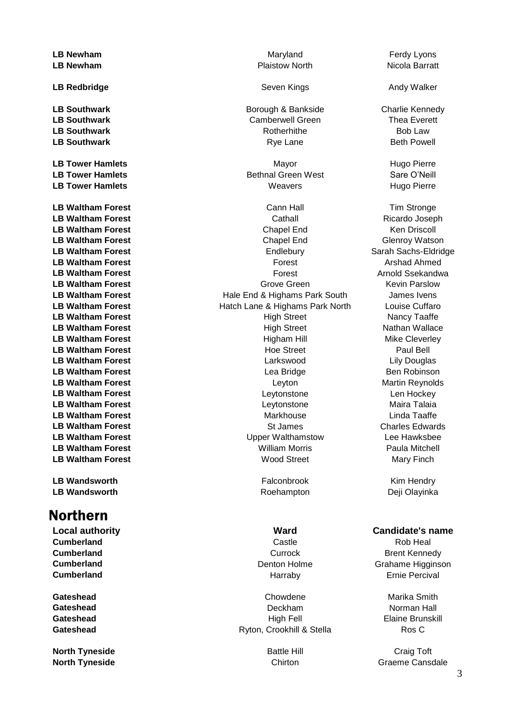**LB Newham Contract Contract Contract Contract Plaistow North Contract Contract Nicola Barratt LB Redbridge Contract Andy Walker Seven Kings** Andy Walker **LB Southwark Charlie Kennedy** Borough & Bankside Charlie Kennedy **LB Southwark** Camberwell Green Thea Everett **LB Southwark Rotherhithe Bob Law Rotherhithe Bob Law LB Southwark Contract Contract Contract Contract Contract Contract Contract Contract Contract Contract Contract Contract Contract Contract Contract Contract Contract Contract Contract Contract Contract Contract Contract LB Tower Hamlets** Mayor Mayor Mayor Hugo Pierre **LB Tower Hamlets Bethnal Green West** Sare O'Neill **LB Tower Hamlets Contract Contract Contract Contract Contract Contract Contract Contract Contract Contract Contract Contract Contract Contract Contract Contract Contract Contract Contract Contract Contract Contract Cont** 

**LB Wandsworth Community Community** Roehampton **Community Deji Olayinka** 

## Northern

**Cumberland** Rob Health Rob Health Rob Health Rob Health Rob Health Rob Health Rob Health Rob Health Rob Health Rob Health Rob Health Rob Health Rob Health Rob Health Rob Health Rob Health Rob Health Rob Health Rob Health

**North Tyneside Battle Hill** Battle Hill **Craig Toft** 

**LB Waltham Forest Cann Hall** Cann Hall **Tim Stronge LB Waltham Forest Cathall Cathall Cathall Cathall Ricardo Joseph** Ricardo Joseph **LB Waltham Forest** Chapel End Ken Driscoll **LB Waltham Forest** Chapel End Glenroy Watson **LB Waltham Forest Endlebury** Endlebury Sarah Sachs-Eldridge **LB Waltham Forest Forest Forest Forest Arshad Ahmed LB Waltham Forest Arizon Contract Arizon Contract Arizon Contract Arizon Arizon Arizon Arizon Arizon Arizon Arizon Arizon Arizon Arizon Arizon Arizon Arizon Arizon Arizon Arizon Arizon Arizon Arizon Arizon Arizon Arizon LB Waltham Forest Construction Construction Construction C** Grove Green Construction Charles Kevin Parslow LB Waltham Forest **LB Waltham Forest Hale End & Highams Park South** James Ivens **LB Waltham Forest** Hatch Lane & Highams Park North Louise Cuffaro **LB Waltham Forest High Street High Street Nancy Taaffe LB Waltham Forest High Street** High Street Nathan Wallace **LB Waltham Forest Higham Hill Mike Cleverley Higham Hill** Mike Cleverley **LB Waltham Forest All Accords Hoe Street Paul Bell Paul Bell LB Waltham Forest Larkswood** Larkswood Lily Douglas **LB Waltham Forest Lea Bridge Ben Robinson LB Waltham Forest Leyton Leyton Martin Reynolds LB Waltham Forest Lexter Lexter Leytonstone Lexter Lem Hockey Len Hockey LB Waltham Forest Leytonstone Maira Talaia Leytonstone Maira Talaia LB Waltham Forest Markhouse Markhouse** Linda Taaffe **LB Waltham Forest St James** Charles Edwards Charles Edwards **LB Waltham Forest** Upper Walthamstow Lee Hawksbee **LB Waltham Forest** William Morris Paula Mitchell **LB Waltham Forest Contract Contract Contract Contract Contract Contract Contract Contract Contract Contract Contract Contract Contract Contract Contract Contract Contract Contract Contract Contract Contract Contract Con** 

**Gateshead** Chowdene Marika Smith **Gateshead** Norman Hall **Deckham** Norman Hall **Deckham** Norman Hall Norman Hall Norman Hall Norman Hall Norman Hall Norman Hall Norman Hall Norman Hall Norman Hall Norman Hall Norman Hall Norman Hall Norman Hall Norman Hal **Gateshead Gateshead High Fell High Fell Elaine Brunskill Gateshead** Ryton, Crookhill & Stella Ros C

**LB Newham Contract Contract Contract Contract Contract Contract Contract Contract Contract Contract Contract Contract Contract Contract Contract Contract Contract Contract Contract Contract Contract Contract Contract Co** 

**LB Wandsworth Example 20 C** Example 20 **Falconbrook Example 20** *Kim Hendry* 

### **Local authority Ward Candidate's name**

**Cumberland** Currock **Cumberland** Brent Kennedy **Cumberland Cumberland Cumberland Cumberland Cumberland Cumberland Cumberland Cumberland Cumberland Cumberland Cumberland Cumberland Cumberland Cumberland Cumberland Cumberland Cumberland Cumberland Cumberland Example 2 Cumberland Example 2 Harraby Example 2 Harraby Example 2 Example 2 Harraby Example 2 Harraby Example 2 Harraby Example 2 Harraby Example 2 Harraby Exam** 

**North Tyneside** Chirton Chirton Graeme Cansdale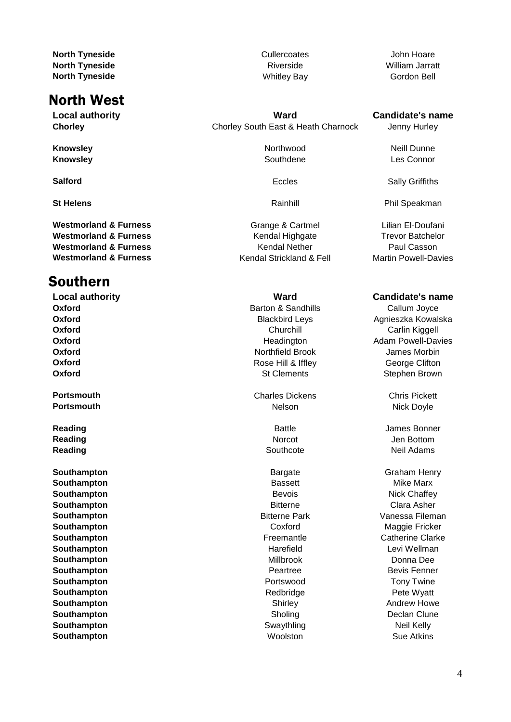**North Tyneside Note 2008 Cullercoates Cullercoates John Hoare North Tyneside Communisty Communisty Communisty Communisty Communisty Communisty Communisty Communisty Communisty Communisty Communisty Communisty Communisty Communisty Communisty Communisty Communisty Communisty Communis North Tyneside** Gordon Bell **North Tyneside** Whitley Bay **Gordon Bell** 

## North West

**Westmorland & Furness** Trevor Batchelor Kendal Highgate Trevor Batchelor **Westmorland & Furness** The Rendal Nether The Paul Casson Paul Casson **Westmorland & Furness** Kendal Strickland & Fell Martin Powell-Davies

## Southern

**Southampton** Mike Marx **Southampton Bevois Bevois Bevois Bevois Nick Chaffey Southampton** Clara Asher **Southampton Exampton Contract Exampton Harefield Levi Wellman Southampton** Donna Dee **Southampton Peartree Bevis Fenner Peartree Bevis Fenner Southampton Portswood Portswood Tony Twine Southampton Redbridge Pete Wyatt Southampton Shirley Shirley Andrew Howe Andrew Howe Shirley Andrew Howe Southampton** Declan Clune **Southampton** News Swaythling Neil Kelly **Southampton** Sue Atkins and Sue Atkins and Sue Atkins and Sue Atkins and Sue Atkins and Sue Atkins and Sue Atkins

**Local authority Ward Candidate's name Chorley** Chorley South East & Heath Charnock Jenny Hurley

**Westmorland & Furness** The Crange & Cartmel Communication El-Doufani

**Oxford Barton & Sandhills** Callum Joyce **Oxford** Churchill Churchill Carlin Kiggell **Oxford Northfield Brook** James Morbin **Oxford** Contract Contract Contract Rose Hill & Iffley Contract George Clifton

**Portsmouth** Charles Dickens Charles Dickens Chris Pickett **Portsmouth** Nelson Nick Doyle Nick Doyle

**Knowsley Northwood Neill Dunne** Neill Dunne **Knowsley Community Connors Connors Connors Connors Connors Connors Connors Connors Connors Connors Connors Connor** 

**Salford Eccles** Sally Griffiths

**St Helens Rainhill Phil Speakman Rainhill** Phil Speakman

### **Local authority Ward Candidate's name**

**Oxford Blackbird Leys Blackbird Leys** Agnieszka Kowalska **Oxford Adam Powell-Davies Contract Adam Powell-Davies Contract Adam Powell-Davies Contract Adam Powell-Davies Oxford** Stephen Brown Stephen Brown Stephen Brown Stephen Brown Stephen Brown Stephen Brown Stephen Brown Stephen Brown Stephen Brown Stephen Brown Stephen Brown Stephen Brown Stephen Brown Stephen Stephen Stephen Stephen

**Reading Battle James Bonner Battle James Bonner Battle James Bonner Reading North Communist Propose Communist Propose Propose Propose Propose Propose Propose Propose Propose Prop Reading Network Contracts and Southcote** Southcote Neil Adams

**Southampton Bargate** Graham Henry **Bargate** Graham Henry **Southampton Bitterne Park Vanessa Fileman Southampton** Coxford Coxford Maggie Fricker **Southampton Freemantle** Catherine Clarke Catherine Clarke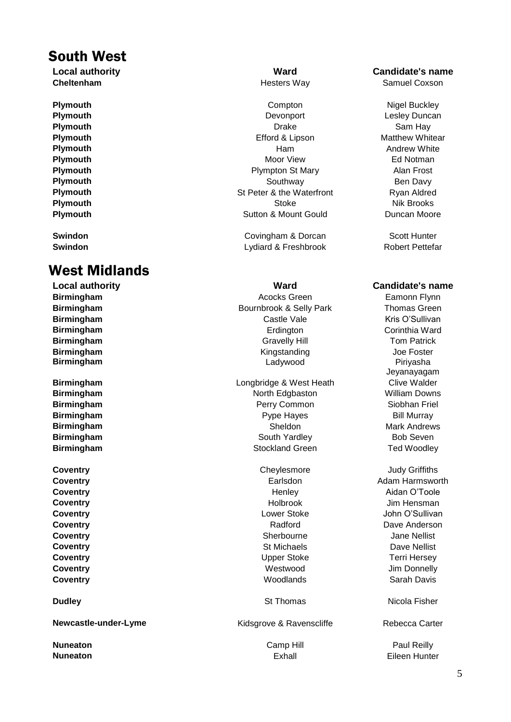## South West

**Cheltenham Cheltenham Hesters Way Hesters Way** Samuel Coxson

## West Midlands

**Newcastle-under-Lyme Kidsgrove & Ravenscliffe** Rebecca Carter

**Plymouth** Nigel Buckley **Compton** Compton **Nigel Buckley Plymouth Devonport Develops Devonport Lesley Duncan Plymouth** Sam Hay and Sam Hay Brake Sam Hay Drake Sam Hay Brake Sam Hay Brake Sam Hay **Plymouth Efford & Lipson** Matthew Whitear **Plymouth Ham** Andrew White **Plymouth** Ed Notman Moor View **Plymouth** Ed Notman Moor View **Ed Notman Plymouth Provident Contract Contract Plympton St Mary Alan Frost** Alan Frost **Plymouth** Ben Davy **Plymouth** Rivan Rivan Ryan Aldred St Peter & the Waterfront Ryan Aldred **Plymouth** Nik Brooks and Nik Brooks and Nik Brooks and Nik Brooks and Nik Brooks and Nik Brooks and Nik Brooks **Plymouth Sutton & Mount Gould** Duncan Moore

**Swindon** Samuel Covingham & Dorcan Scott Hunter **Swindon Swindon Example 2018** Lydiard & Freshbrook **Robert Pettefar** 

**Birmingham Birmingham Acocks Green Eamonn Flynn Birmingham** Bournbrook & Selly Park Thomas Green **Birmingham** Castle Vale Castle Vale Kris O'Sullivan **Birmingham Brown Corresponding Community** Erdington **Corresponding Corresponding Ward Birmingham** Tom Patrick **Birmingham** Gravelly Hill Gravelly Hill Tom Patrick **Birmingham** Joe Foster **Birmingham** Piriyasha

**Birmingham Birmingham Longbridge & West Heath** Clive Walder **Birmingham** North Edgbaston William Downs **Birmingham Perry Common Siobhan Friel** Perry Common Siobhan Friel **Birmingham** Bill Murray **Bill Murray** Pype Hayes **Bill Murray Birmingham** Sheldon Mark Andrews Sheldon Mark Andrews **Birmingham** Bob Seven Bob Seven Bob Seven Bob Seven Bob Seven **Birmingham Branch Communist Communist Communist Communist Communist Communist Communist Communist Communist Communist Communist Communist Communist Communist Communist Communist Communist Communist Communist Communist C** 

### **Local authority Ward Candidate's name**

### **Local authority Ward Candidate's name**

Jeyanayagam

**Coventry** Coventry **Coventry** Cheylesmore Cheylesmore Judy Griffiths **Coventry Coventry Earlsdon Earlsdon Adam Harmsworth Coventry Coventry Aidan O'Toole Coventry Coventry Coventry Holbrook** Holbrook **Jim Hensman Coventry Coventry Coventry Coventry Coventry Coventry Coventry Coventry COVENTS Coventry Coventry Radford Radford Dave Anderson Coventry Sherbourne** Sherbourne Jane Nellist **Coventry Stephenome Coven Coven Coven Coven Coven Cover Act Occupation Coven Coven Cover Act Occupation Coven Coven Coven Act Occupation Coven Act Occupation Coven Act Occupation Coven Act Occupation Coven Act Occupatio Coventry Cover Cover Cover Cover Cover Cover Cover Cover Cover Cover Cover Cover Cover Cover Cover Cover Cover Cover Cover Cover Cover Cover Cover Cover Cover Cover Cover Cover Cover Cover Cover Cover Cover Cover Cover Coventry Coventry Westwood Jim Donnelly Coventry** Sarah Davis **Coventry Sarah Davis Coventry** Sarah Davis Coventry Sarah Davis Coventry Sarah Davis Coventry

**Dudley St Thomas** St Thomas Nicola Fisher

**Nuneaton Camp Hill Paul Reilly** Raul Reilly **Nuneaton** Exhall Exhall Exhall Eileen Hunter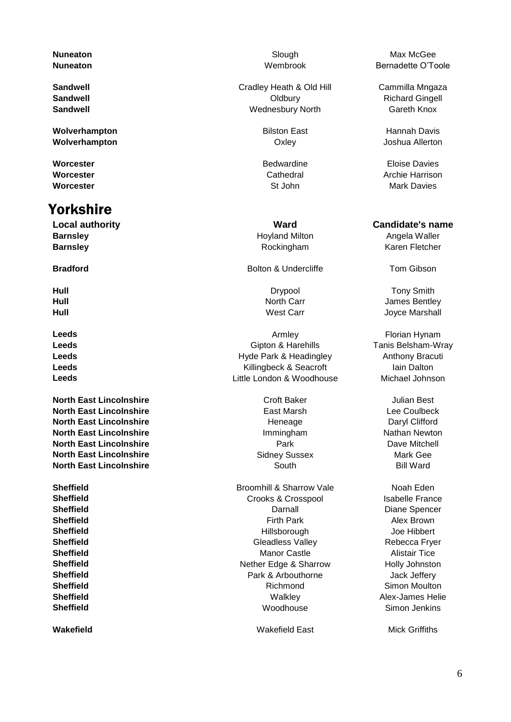**Wolverhampton Wolverhampton Oxley** Oxley **Joshua Allerton** 

## Yorkshire

**Barnsley Barnsley Barnsley Hoyland Milton Angela Waller Barnsley** Rockingham Rockingham Karen Fletcher

**North East Lincolnshire** The Croom Croft Baker Croft Baker Julian Best **North East Lincolnshire** The East Marsh Lee Coulbeck **North East Lincolnshire North East Lincolnshire Heneage Heneage** Daryl Clifford **North East Lincolnshire Immingham** Immingham Nathan Newton **North East Lincolnshire North East Lincolnshire Park Park Dave Mitchell North East Lincolnshire North East Lincolnshire** Sidney Sussex Mark Gee **North East Lincolnshire South Bill Ward Bill Ward** 

Sandwell **Sandwell Cradley Heath & Old Hill** Cammilla Mngaza **Sandwell Sandwell Constanting Constanting Constanting Constanting Constanting Constanting Richard Gingell Sandwell** Gareth Knox Careth Knox Careth Knox Careth Knox Careth Knox

**Bradford Bolton & Undercliffe** Tom Gibson

**Leeds Armley Florian Hynam Armley Florian Hynam Leeds Contract Contract Contract Contract Contract Contract Contract Contract Contract Contract Contract Contract Contract Contract Contract Contract Contract Contract Contract Contract Contract Contract Contract Contra Leeds Example 2 Hyde Park & Headingley Anthony Bracuti Leeds Leeds Contains a Leeds Contains a Leeds Contains a Leeds Contains a Leeds Contains a Leeds Contains a Leeds Contains a Leeds Contains a Leeds Contains a Leeds Contains a Leeds Contains a Lee Seacroft Leeds** Little London & Woodhouse Michael Johnson

**Sheffield** Broomhill & Sharrow Vale Noah Eden **Sheffield Crooks & Crosspool** Isabelle France **Sheffield** Darnall Darnall Darnall Diane Spencer **Sheffield Firth Park Alex Brown Sheffield** Joe Hillsborough **Hillsborough** Hillsborough Joe Hibbert **Sheffield** Gleadless Valley Rebecca Fryer **Sheffield Manor Castle Alistair Tice Manor Castle Alistair Tice Sheffield Nether Edge & Sharrow** Holly Johnston **Sheffield** Park & Arbouthorne Jack Jeffery **Sheffield Richmond Richmond** Simon Moulton **Sheffield Sheffield Contract Contract Contract Contract Contract Contract Contract Alex-James Helie Sheffield** Strain Strain Strain Strain Strain Strain Strain Strain Strain Strain Strain Strain Strain Strain Strain Strain Strain Strain Strain Strain Strain Strain Strain Strain Strain Strain Strain Strain Strain Strain

**Nuneaton** Max McGee **Nuneaton Muneaton Bernadette O'Toole Nuneaton Bernadette O'Toole** 

**Wolverhampton Bilston East Hannah Davis Hannah Davis** 

**Worcester Bedwardine** Eloise Davies **Worcester** Morcester **Cathedral** Cathedral Archie Harrison **Worcester St John Mark Davies Mark Davies Allen Area Controllering St John Mark Davies Mark Davies Area Controllering Controllering St John Mark Davies Area Controllering Controllering Controllering St John Mark Davies** 

### **Local authority Ward Candidate's name**

**Hull Hull Drypool Tony Smith Hull Hull Hull Hull Hull Hull North Carr Morth Carr James Bentley Hull Hull Hull Messachuse Messachuse West Carr All Solutions Joyce Marshall** 

**Wakefield** Wakefield East Mick Griffiths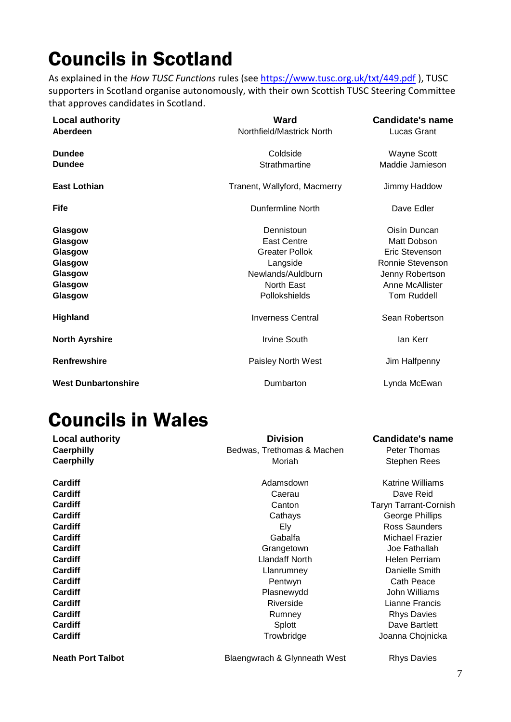# Councils in Scotland

As explained in the *How TUSC Functions* rules (see<https://www.tusc.org.uk/txt/449.pdf> ), TUSC supporters in Scotland organise autonomously, with their own Scottish TUSC Steering Committee that approves candidates in Scotland.

| <b>Local authority</b><br>Aberdeen | <b>Ward</b><br>Northfield/Mastrick North | <b>Candidate's name</b><br>Lucas Grant |
|------------------------------------|------------------------------------------|----------------------------------------|
| <b>Dundee</b>                      | Coldside                                 | Wayne Scott                            |
| <b>Dundee</b>                      | Strathmartine                            | Maddie Jamieson                        |
| <b>East Lothian</b>                | Tranent, Wallyford, Macmerry             | Jimmy Haddow                           |
| <b>Fife</b>                        | <b>Dunfermline North</b>                 | Dave Edler                             |
| Glasgow                            | Dennistoun                               | Oisín Duncan                           |
| Glasgow                            | <b>East Centre</b>                       | Matt Dobson                            |
| Glasgow                            | <b>Greater Pollok</b>                    | Eric Stevenson                         |
| Glasgow                            | Langside                                 | Ronnie Stevenson                       |
| Glasgow                            | Newlands/Auldburn                        | Jenny Robertson                        |
| Glasgow                            | North East                               | Anne McAllister                        |
| Glasgow                            | Pollokshields                            | <b>Tom Ruddell</b>                     |
| Highland                           | <b>Inverness Central</b>                 | Sean Robertson                         |
| <b>North Ayrshire</b>              | <b>Irvine South</b>                      | lan Kerr                               |
| <b>Renfrewshire</b>                | Paisley North West                       | Jim Halfpenny                          |
| <b>West Dunbartonshire</b>         | Dumbarton                                | Lynda McEwan                           |

# Councils in Wales

| <b>Local authority</b> | <b>Division</b>            | <b>Candidate's name</b>      |
|------------------------|----------------------------|------------------------------|
| <b>Caerphilly</b>      | Bedwas, Trethomas & Machen | Peter Thomas                 |
| <b>Caerphilly</b>      | Moriah                     | <b>Stephen Rees</b>          |
| <b>Cardiff</b>         | Adamsdown                  | <b>Katrine Williams</b>      |
| <b>Cardiff</b>         | Caerau                     | Dave Reid                    |
| <b>Cardiff</b>         | Canton                     | <b>Taryn Tarrant-Cornish</b> |
| Cardiff                | Cathays                    | George Phillips              |
| <b>Cardiff</b>         | Ely                        | Ross Saunders                |
| <b>Cardiff</b>         | Gabalfa                    | Michael Frazier              |
| <b>Cardiff</b>         | Grangetown                 | Joe Fathallah                |
| <b>Cardiff</b>         | Llandaff North             | Helen Perriam                |
| <b>Cardiff</b>         | Llanrumney                 | Danielle Smith               |
| <b>Cardiff</b>         | Pentwyn                    | Cath Peace                   |
| <b>Cardiff</b>         | Plasnewydd                 | John Williams                |
| <b>Cardiff</b>         | Riverside                  | Lianne Francis               |
| <b>Cardiff</b>         | Rumney                     | <b>Rhys Davies</b>           |
| <b>Cardiff</b>         | Splott                     | Dave Bartlett                |
| <b>Cardiff</b>         | Trowbridge                 | Joanna Chojnicka             |

**Neath Port Talbot Blaengwrach & Glynneath West** Rhys Davies